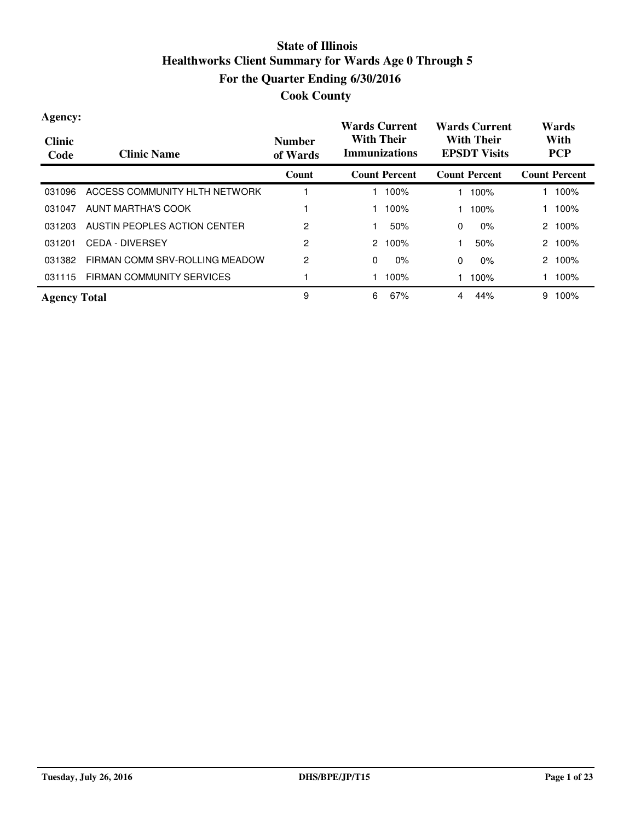| Agency:<br><b>Clinic</b><br>Code | <b>Clinic Name</b>             | <b>Number</b><br>of Wards | <b>Wards Current</b><br><b>Wards Current</b><br><b>With Their</b><br><b>With Their</b><br><b>Immunizations</b><br><b>EPSDT</b> Visits |                       | Wards<br>With<br><b>PCP</b> |
|----------------------------------|--------------------------------|---------------------------|---------------------------------------------------------------------------------------------------------------------------------------|-----------------------|-----------------------------|
|                                  |                                | Count                     | <b>Count Percent</b>                                                                                                                  | <b>Count Percent</b>  | <b>Count Percent</b>        |
| 031096                           | ACCESS COMMUNITY HLTH NETWORK  |                           | 100%                                                                                                                                  | 100%                  | 100%                        |
| 031047                           | AUNT MARTHA'S COOK             |                           | 100%                                                                                                                                  | 100%                  | 100%                        |
| 031203                           | AUSTIN PEOPLES ACTION CENTER   | 2                         | 50%                                                                                                                                   | $0\%$<br>$\mathbf{0}$ | 100%<br>2                   |
| 031201                           | <b>CEDA - DIVERSEY</b>         | 2                         | 2<br>100%                                                                                                                             | 50%                   | 100%<br>2                   |
| 031382                           | FIRMAN COMM SRV-ROLLING MEADOW | 2                         | $\mathbf{0}$<br>0%                                                                                                                    | $\mathbf{0}$<br>$0\%$ | 100%<br>2                   |
| 031115                           | FIRMAN COMMUNITY SERVICES      |                           | 100%                                                                                                                                  | 100%                  | 100%                        |
| <b>Agency Total</b>              |                                | 9                         | 6<br>67%                                                                                                                              | 44%<br>4              | 9<br>100%                   |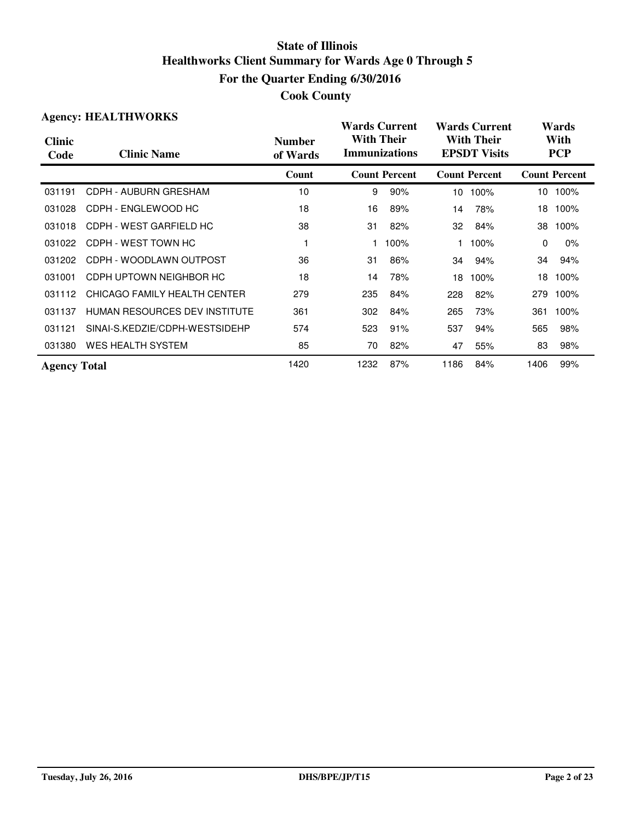|  | <b>Cook County</b> |
|--|--------------------|
|--|--------------------|

|                       | <b>Agency: HEALTHWORKS</b>     |                           | <b>Wards Current</b>                      |                      |      | <b>Wards Current</b>                     |      | Wards                |
|-----------------------|--------------------------------|---------------------------|-------------------------------------------|----------------------|------|------------------------------------------|------|----------------------|
| <b>Clinic</b><br>Code | <b>Clinic Name</b>             | <b>Number</b><br>of Wards | <b>With Their</b><br><b>Immunizations</b> |                      |      | <b>With Their</b><br><b>EPSDT Visits</b> |      | With<br><b>PCP</b>   |
|                       |                                | Count                     |                                           | <b>Count Percent</b> |      | <b>Count Percent</b>                     |      | <b>Count Percent</b> |
| 031191                | CDPH - AUBURN GRESHAM          | 10                        | 9                                         | 90%                  | 10   | 100%                                     | 10   | 100%                 |
| 031028                | CDPH - ENGLEWOOD HC            | 18                        | 16                                        | 89%                  | 14   | 78%                                      | 18   | 100%                 |
| 031018                | CDPH - WEST GARFIELD HC        | 38                        | 31                                        | 82%                  | 32   | 84%                                      | 38   | 100%                 |
| 031022                | CDPH - WEST TOWN HC            |                           |                                           | 100%                 |      | 100%                                     | 0    | $0\%$                |
| 031202                | CDPH - WOODLAWN OUTPOST        | 36                        | 31                                        | 86%                  | 34   | 94%                                      | 34   | 94%                  |
| 031001                | CDPH UPTOWN NEIGHBOR HC        | 18                        | 14                                        | 78%                  | 18   | 100%                                     | 18   | 100%                 |
| 031112                | CHICAGO FAMILY HEALTH CENTER   | 279                       | 235                                       | 84%                  | 228  | 82%                                      | 279  | 100%                 |
| 031137                | HUMAN RESOURCES DEV INSTITUTE  | 361                       | 302                                       | 84%                  | 265  | 73%                                      | 361  | 100%                 |
| 031121                | SINAI-S.KEDZIE/CDPH-WESTSIDEHP | 574                       | 523                                       | 91%                  | 537  | 94%                                      | 565  | 98%                  |
| 031380                | <b>WES HEALTH SYSTEM</b>       | 85                        | 70                                        | 82%                  | 47   | 55%                                      | 83   | 98%                  |
| <b>Agency Total</b>   |                                | 1420                      | 1232                                      | 87%                  | 1186 | 84%                                      | 1406 | 99%                  |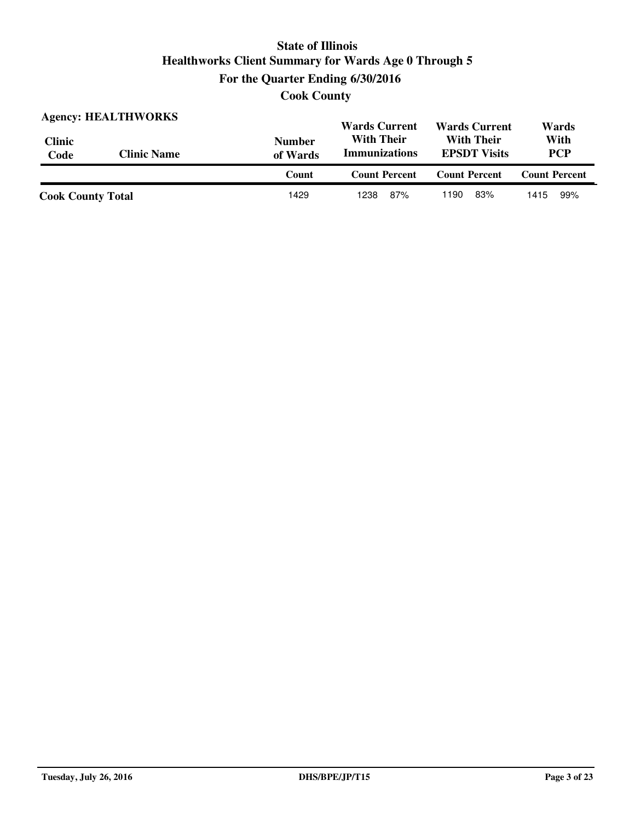**Cook County**

|                          | <b>Agency: HEALTHWORKS</b> |                           | <b>Wards Current</b>                      | <b>Wards Current</b>                     | Wards                |
|--------------------------|----------------------------|---------------------------|-------------------------------------------|------------------------------------------|----------------------|
| <b>Clinic</b><br>Code    | <b>Clinic Name</b>         | <b>Number</b><br>of Wards | <b>With Their</b><br><b>Immunizations</b> | <b>With Their</b><br><b>EPSDT</b> Visits | With<br><b>PCP</b>   |
|                          |                            | Count                     | <b>Count Percent</b>                      | <b>Count Percent</b>                     | <b>Count Percent</b> |
| <b>Cook County Total</b> |                            | 1429                      | 87%<br>1238                               | 83%<br>1190                              | 99%<br>1415          |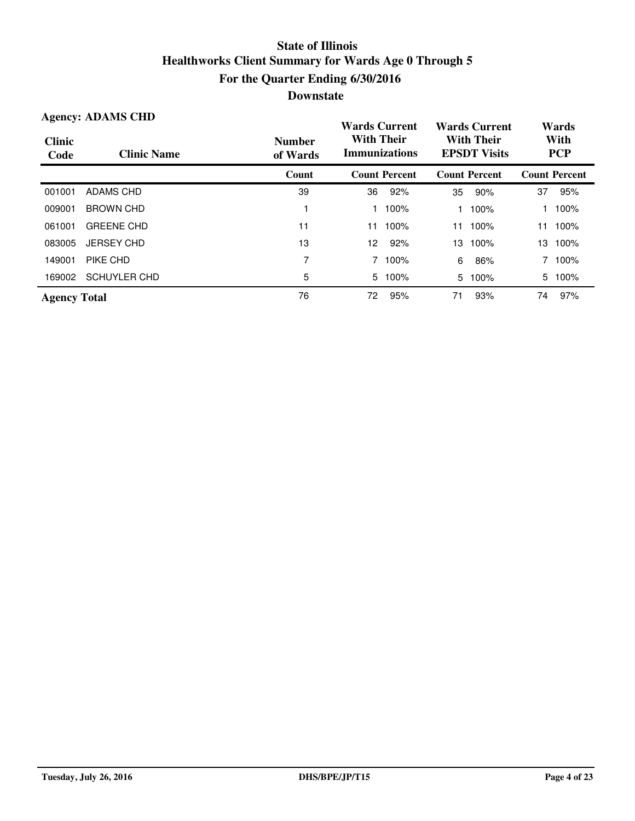| <b>Agency: ADAMS CHD</b> |                     |                           | <b>Wards Current</b>                      |                      | <b>Wards Current</b> |                                          | Wards |                      |
|--------------------------|---------------------|---------------------------|-------------------------------------------|----------------------|----------------------|------------------------------------------|-------|----------------------|
| <b>Clinic</b><br>Code    | <b>Clinic Name</b>  | <b>Number</b><br>of Wards | <b>With Their</b><br><b>Immunizations</b> |                      |                      | <b>With Their</b><br><b>EPSDT Visits</b> |       | With<br><b>PCP</b>   |
|                          |                     | Count                     |                                           | <b>Count Percent</b> |                      | <b>Count Percent</b>                     |       | <b>Count Percent</b> |
| 001001                   | ADAMS CHD           | 39                        | 36                                        | 92%                  | 35                   | 90%                                      | 37    | 95%                  |
| 009001                   | <b>BROWN CHD</b>    |                           |                                           | 100%                 |                      | 100%                                     |       | 100%                 |
| 061001                   | <b>GREENE CHD</b>   | 11                        | 11                                        | 100%                 | 11                   | 100%                                     | 11    | 100%                 |
| 083005                   | <b>JERSEY CHD</b>   | 13                        | 12.                                       | 92%                  | 13                   | 100%                                     | 13    | 100%                 |
| 149001                   | PIKE CHD            | 7                         | 7                                         | 100%                 | 6                    | 86%                                      |       | 100%                 |
| 169002                   | <b>SCHUYLER CHD</b> | 5                         | 5                                         | 100%                 | 5                    | 100%                                     | 5     | 100%                 |
| <b>Agency Total</b>      |                     | 76                        | 72                                        | 95%                  | 71                   | 93%                                      | 74    | 97%                  |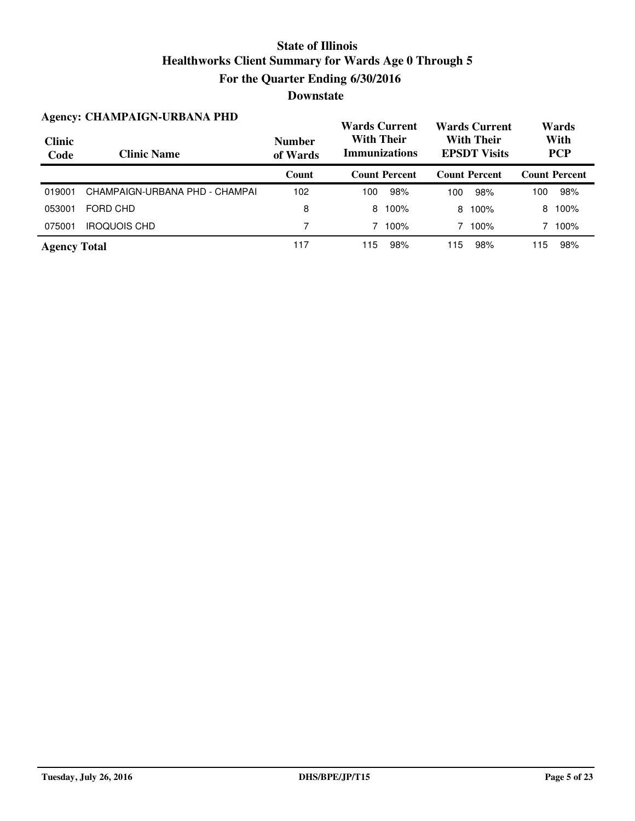|                       | <b>Agency: CHAMPAIGN-URBANA PHD</b> |                           | <b>Wards Current</b>                      |                      |     | <b>Wards Current</b>                     |     | Wards                |
|-----------------------|-------------------------------------|---------------------------|-------------------------------------------|----------------------|-----|------------------------------------------|-----|----------------------|
| <b>Clinic</b><br>Code | <b>Clinic Name</b>                  | <b>Number</b><br>of Wards | <b>With Their</b><br><b>Immunizations</b> |                      |     | <b>With Their</b><br><b>EPSDT</b> Visits |     | With<br><b>PCP</b>   |
|                       |                                     | Count                     |                                           | <b>Count Percent</b> |     | <b>Count Percent</b>                     |     | <b>Count Percent</b> |
| 019001                | CHAMPAIGN-URBANA PHD - CHAMPAI      | 102                       | 100                                       | 98%                  | 100 | 98%                                      | 100 | 98%                  |
| 053001                | FORD CHD                            | 8                         | 8                                         | 100%                 | 8   | 100%                                     | 8   | 100%                 |
| 075001                | <b>IROQUOIS CHD</b>                 | 7                         |                                           | 100%                 |     | 100%                                     | 7   | 100%                 |
| <b>Agency Total</b>   |                                     | 117                       | 115                                       | 98%                  | 115 | 98%                                      | 15  | 98%                  |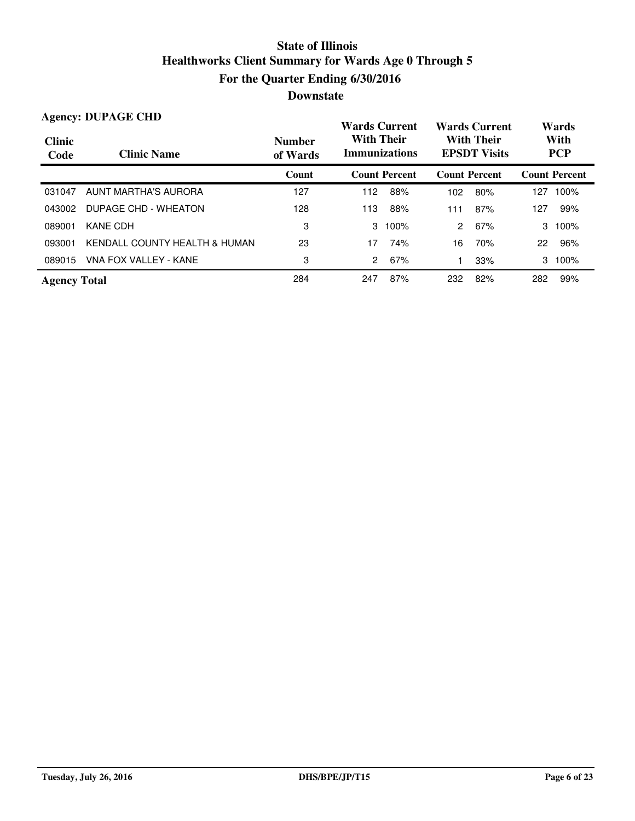|                       | <b>Agency: DUPAGE CHD</b>     |                           | <b>Wards Current</b>                      |                      |                                          | <b>Wards Current</b> |                    | Wards                |
|-----------------------|-------------------------------|---------------------------|-------------------------------------------|----------------------|------------------------------------------|----------------------|--------------------|----------------------|
| <b>Clinic</b><br>Code | <b>Clinic Name</b>            | <b>Number</b><br>of Wards | <b>With Their</b><br><b>Immunizations</b> |                      | <b>With Their</b><br><b>EPSDT</b> Visits |                      | With<br><b>PCP</b> |                      |
|                       |                               | Count                     |                                           | <b>Count Percent</b> | <b>Count Percent</b>                     |                      |                    | <b>Count Percent</b> |
| 031047                | <b>AUNT MARTHA'S AURORA</b>   | 127                       | 112                                       | 88%                  | 102                                      | 80%                  | 127                | 100%                 |
| 043002                | DUPAGE CHD - WHEATON          | 128                       | 113                                       | 88%                  | 111                                      | 87%                  | 127                | 99%                  |
| 089001                | KANE CDH                      | 3                         | 3                                         | 100%                 | $\mathcal{P}$                            | 67%                  | 3                  | 100%                 |
| 093001                | KENDALL COUNTY HEALTH & HUMAN | 23                        | 17                                        | 74%                  | 16                                       | 70%                  | 22                 | 96%                  |
| 089015                | VNA FOX VALLEY - KANE         | 3                         | 2                                         | 67%                  |                                          | 33%                  | 3                  | 100%                 |
| <b>Agency Total</b>   |                               | 284                       | 247                                       | 87%                  | 232                                      | 82%                  | 282                | 99%                  |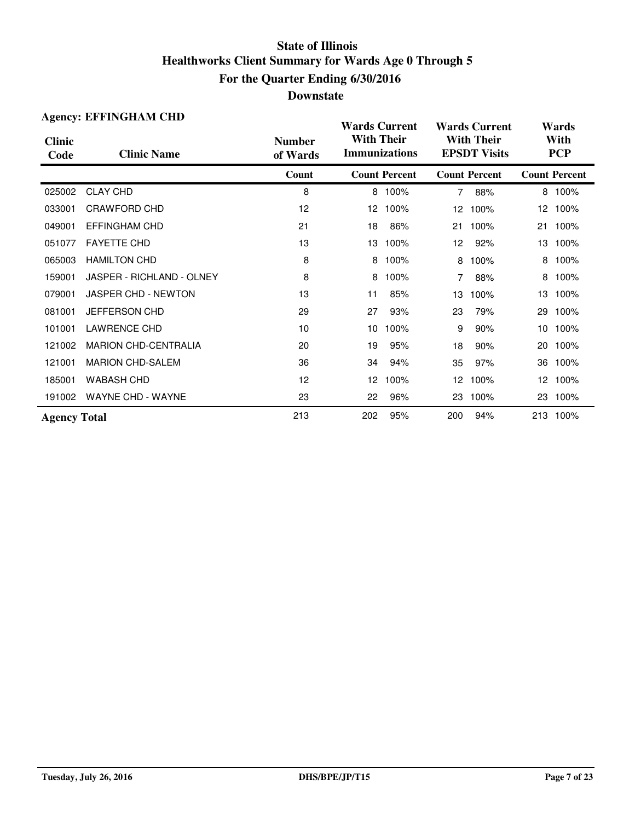|                       | <b>Agency: EFFINGHAM CHD</b> |                           | <b>Wards Current</b> |                      |                 | <b>Wards Current</b>                     |                 | Wards                |
|-----------------------|------------------------------|---------------------------|----------------------|----------------------|-----------------|------------------------------------------|-----------------|----------------------|
| <b>Clinic</b><br>Code | <b>Clinic Name</b>           | <b>Number</b><br>of Wards | <b>With Their</b>    | <b>Immunizations</b> |                 | <b>With Their</b><br><b>EPSDT Visits</b> |                 | With<br><b>PCP</b>   |
|                       |                              | Count                     |                      | <b>Count Percent</b> |                 | <b>Count Percent</b>                     |                 | <b>Count Percent</b> |
| 025002                | <b>CLAY CHD</b>              | 8                         |                      | 8 100%               | $\overline{7}$  | 88%                                      |                 | 8 100%               |
| 033001                | CRAWFORD CHD                 | 12                        | 12                   | 100%                 | 12 <sup>2</sup> | 100%                                     |                 | 12 100%              |
| 049001                | <b>EFFINGHAM CHD</b>         | 21                        | 18                   | 86%                  | 21              | 100%                                     | 21              | 100%                 |
| 051077                | <b>FAYETTE CHD</b>           | 13                        | 13                   | 100%                 | 12              | 92%                                      | 13              | 100%                 |
| 065003                | <b>HAMILTON CHD</b>          | 8                         | 8                    | 100%                 | 8               | 100%                                     | 8               | 100%                 |
| 159001                | JASPER - RICHLAND - OLNEY    | 8                         | 8                    | 100%                 | 7               | 88%                                      | 8               | 100%                 |
| 079001                | JASPER CHD - NEWTON          | 13                        | 11                   | 85%                  | 13              | 100%                                     | 13              | 100%                 |
| 081001                | JEFFERSON CHD                | 29                        | 27                   | 93%                  | 23              | 79%                                      | 29              | 100%                 |
| 101001                | <b>LAWRENCE CHD</b>          | 10                        | 10                   | 100%                 | 9               | 90%                                      | 10 <sup>°</sup> | 100%                 |
| 121002                | <b>MARION CHD-CENTRALIA</b>  | 20                        | 19                   | 95%                  | 18              | 90%                                      | 20              | 100%                 |
| 121001                | <b>MARION CHD-SALEM</b>      | 36                        | 34                   | 94%                  | 35              | 97%                                      | 36              | 100%                 |
| 185001                | <b>WABASH CHD</b>            | 12                        | 12 <sup>2</sup>      | 100%                 | 12              | 100%                                     | 12              | 100%                 |
| 191002                | <b>WAYNE CHD - WAYNE</b>     | 23                        | 22                   | 96%                  | 23              | 100%                                     | 23              | 100%                 |
| <b>Agency Total</b>   |                              | 213                       | 202                  | 95%                  | 200             | 94%                                      |                 | 213 100%             |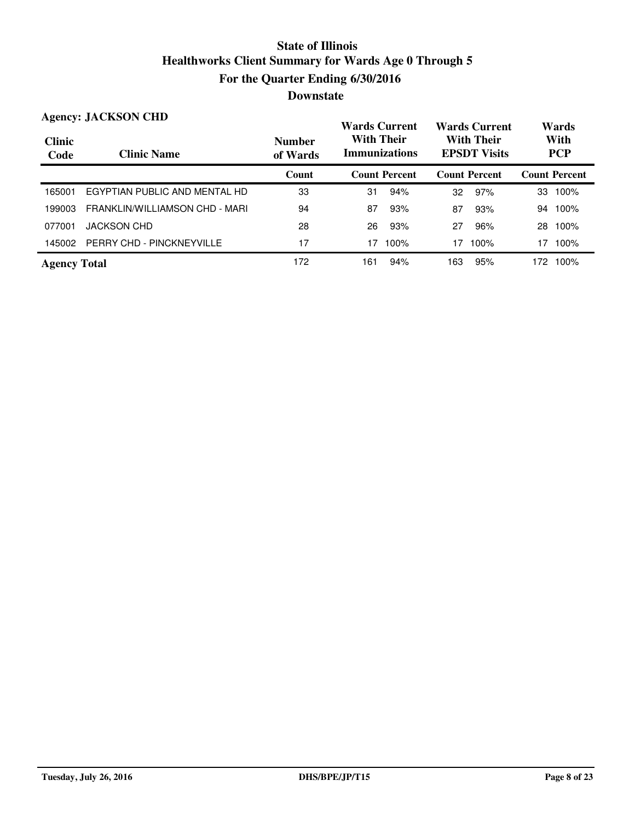|                       | <b>Agency: JACKSON CHD</b>     |                           | <b>Wards Current</b>                      |                      |     | <b>Wards Current</b>                     |      | Wards                |
|-----------------------|--------------------------------|---------------------------|-------------------------------------------|----------------------|-----|------------------------------------------|------|----------------------|
| <b>Clinic</b><br>Code | <b>Clinic Name</b>             | <b>Number</b><br>of Wards | <b>With Their</b><br><b>Immunizations</b> |                      |     | <b>With Their</b><br><b>EPSDT Visits</b> |      | With<br><b>PCP</b>   |
|                       |                                | Count                     |                                           | <b>Count Percent</b> |     | <b>Count Percent</b>                     |      | <b>Count Percent</b> |
| 165001                | EGYPTIAN PUBLIC AND MENTAL HD  | 33                        | 31                                        | 94%                  | 32  | 97%                                      | 33   | 100%                 |
| 199003                | FRANKLIN/WILLIAMSON CHD - MARI | 94                        | 87                                        | 93%                  | 87  | 93%                                      | 94   | 100%                 |
| 077001                | <b>JACKSON CHD</b>             | 28                        | 26                                        | 93%                  | 27  | 96%                                      | 28   | 100%                 |
| 145002                | PERRY CHD - PINCKNEYVILLE      | 17                        | 17                                        | 100%                 | 17  | 100%                                     | 17   | 100%                 |
| <b>Agency Total</b>   |                                | 172                       | 161                                       | 94%                  | 163 | 95%                                      | 172. | 100%                 |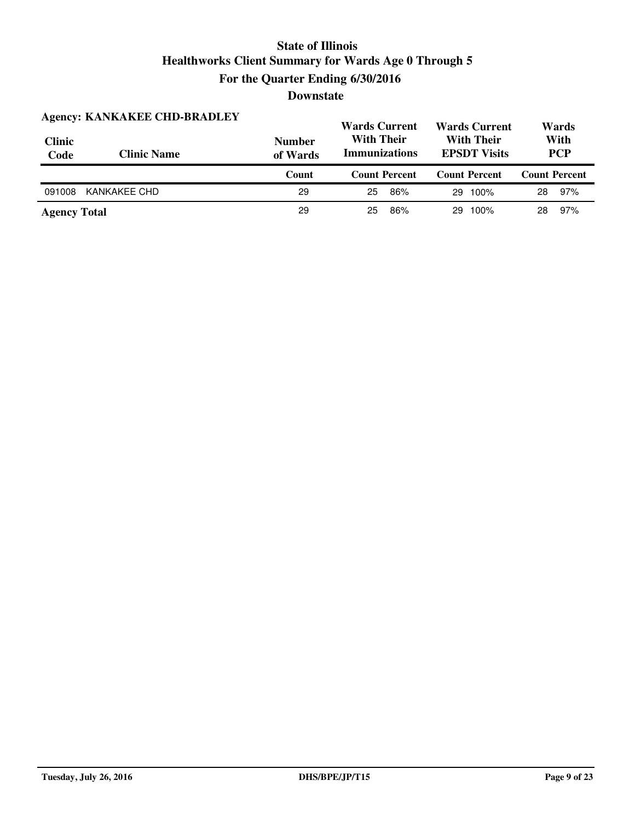|                       | <b>Agency: KANKAKEE CHD-BRADLEY</b> |                           | <b>Wards Current</b><br><b>With Their</b> | <b>Wards Current</b><br><b>With Their</b> | Wards<br>With        |
|-----------------------|-------------------------------------|---------------------------|-------------------------------------------|-------------------------------------------|----------------------|
| <b>Clinic</b><br>Code | <b>Clinic Name</b>                  | <b>Number</b><br>of Wards | <b>Immunizations</b>                      | <b>EPSDT Visits</b>                       | <b>PCP</b>           |
|                       |                                     | Count                     | <b>Count Percent</b>                      | <b>Count Percent</b>                      | <b>Count Percent</b> |
|                       |                                     |                           |                                           |                                           |                      |
| 091008                | KANKAKEE CHD                        | 29                        | 86%<br>25                                 | 100%<br>29                                | 97%<br>28            |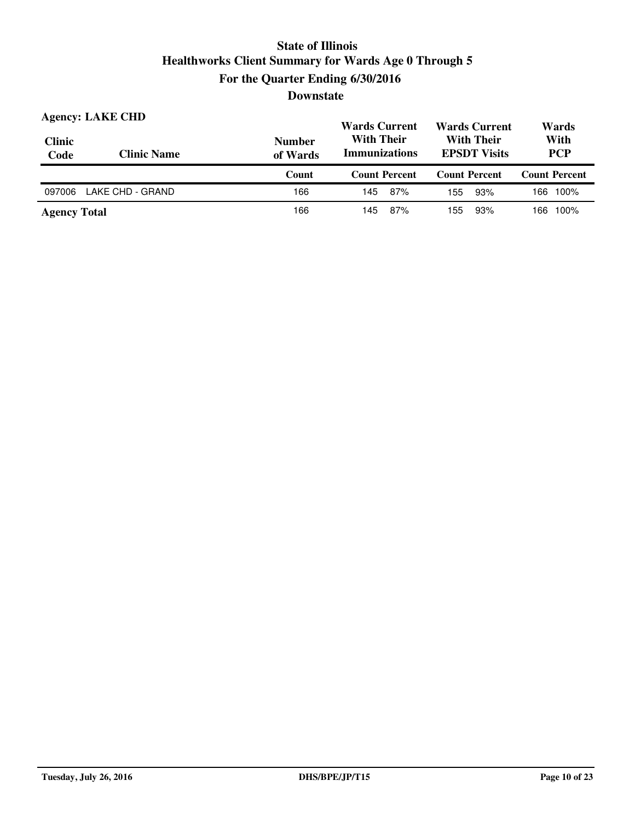| <b>Clinic</b><br>Code | <b>Agency: LAKE CHD</b><br><b>Clinic Name</b> | <b>Number</b><br>of Wards | <b>Wards Current</b><br><b>With Their</b><br><b>Immunizations</b> | <b>Wards Current</b><br><b>With Their</b><br><b>EPSDT</b> Visits | Wards<br>With<br><b>PCP</b> |  |
|-----------------------|-----------------------------------------------|---------------------------|-------------------------------------------------------------------|------------------------------------------------------------------|-----------------------------|--|
|                       |                                               | Count                     | <b>Count Percent</b>                                              | <b>Count Percent</b>                                             | <b>Count Percent</b>        |  |
|                       |                                               |                           |                                                                   |                                                                  |                             |  |
| 097006                | LAKE CHD - GRAND                              | 166                       | 87%<br>145                                                        | 93%<br>155                                                       | 166 100%                    |  |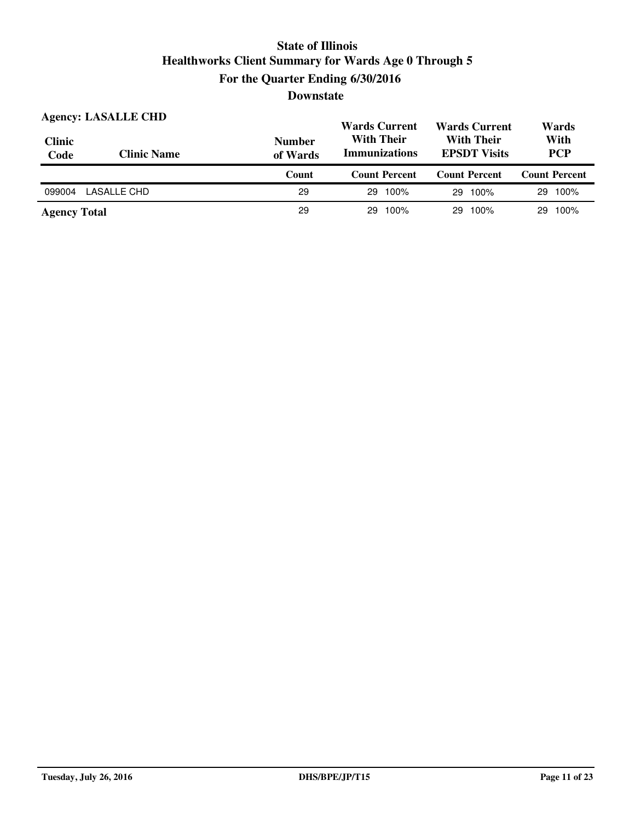| <b>Clinic</b><br>Code | <b>Agency: LASALLE CHD</b><br><b>Clinic Name</b> | <b>Number</b><br>of Wards | <b>Wards Current</b><br><b>With Their</b><br><b>Immunizations</b> | <b>Wards Current</b><br><b>With Their</b><br><b>EPSDT Visits</b> | Wards<br>With<br><b>PCP</b> |
|-----------------------|--------------------------------------------------|---------------------------|-------------------------------------------------------------------|------------------------------------------------------------------|-----------------------------|
|                       |                                                  | Count                     | <b>Count Percent</b>                                              | <b>Count Percent</b>                                             | <b>Count Percent</b>        |
|                       |                                                  |                           |                                                                   |                                                                  |                             |
| 099004                | LASALLE CHD                                      | 29                        | 100%<br>29.                                                       | 100%<br>29.                                                      | 29 100%                     |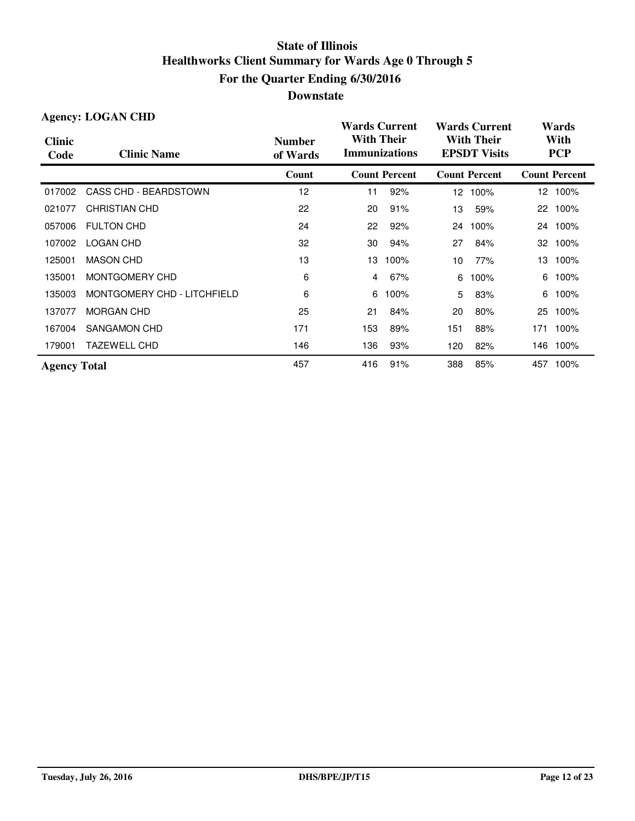|                       | <b>Agency: LOGAN CHD</b>    |                           | <b>Wards Current</b>                      |                      |                                          | <b>Wards Current</b> | Wards             |                      |
|-----------------------|-----------------------------|---------------------------|-------------------------------------------|----------------------|------------------------------------------|----------------------|-------------------|----------------------|
| <b>Clinic</b><br>Code | <b>Clinic Name</b>          | <b>Number</b><br>of Wards | <b>With Their</b><br><b>Immunizations</b> |                      | <b>With Their</b><br><b>EPSDT Visits</b> |                      |                   | With<br><b>PCP</b>   |
|                       |                             | Count                     |                                           | <b>Count Percent</b> |                                          | <b>Count Percent</b> |                   | <b>Count Percent</b> |
| 017002                | CASS CHD - BEARDSTOWN       | 12                        | 11                                        | 92%                  | 12                                       | 100%                 |                   | 12 100%              |
| 021077                | <b>CHRISTIAN CHD</b>        | 22                        | 20                                        | 91%                  | 13                                       | 59%                  | $22 \overline{ }$ | 100%                 |
| 057006                | <b>FULTON CHD</b>           | 24                        | 22                                        | 92%                  | 24                                       | 100%                 |                   | 24 100%              |
| 107002                | <b>LOGAN CHD</b>            | 32                        | 30                                        | 94%                  | 27                                       | 84%                  | 32                | 100%                 |
| 125001                | <b>MASON CHD</b>            | 13                        | 13                                        | 100%                 | 10                                       | 77%                  | 13                | 100%                 |
| 135001                | MONTGOMERY CHD              | 6                         | 4                                         | 67%                  | 6                                        | 100%                 | 6                 | 100%                 |
| 135003                | MONTGOMERY CHD - LITCHFIELD | 6                         | 6                                         | 100%                 | 5                                        | 83%                  | 6                 | 100%                 |
| 137077                | <b>MORGAN CHD</b>           | 25                        | 21                                        | 84%                  | 20                                       | 80%                  | 25                | 100%                 |
| 167004                | SANGAMON CHD                | 171                       | 153                                       | 89%                  | 151                                      | 88%                  | 171               | 100%                 |
| 179001                | <b>TAZEWELL CHD</b>         | 146                       | 136                                       | 93%                  | 120                                      | 82%                  | 146               | 100%                 |
| <b>Agency Total</b>   |                             | 457                       | 416                                       | 91%                  | 388                                      | 85%                  | 457               | 100%                 |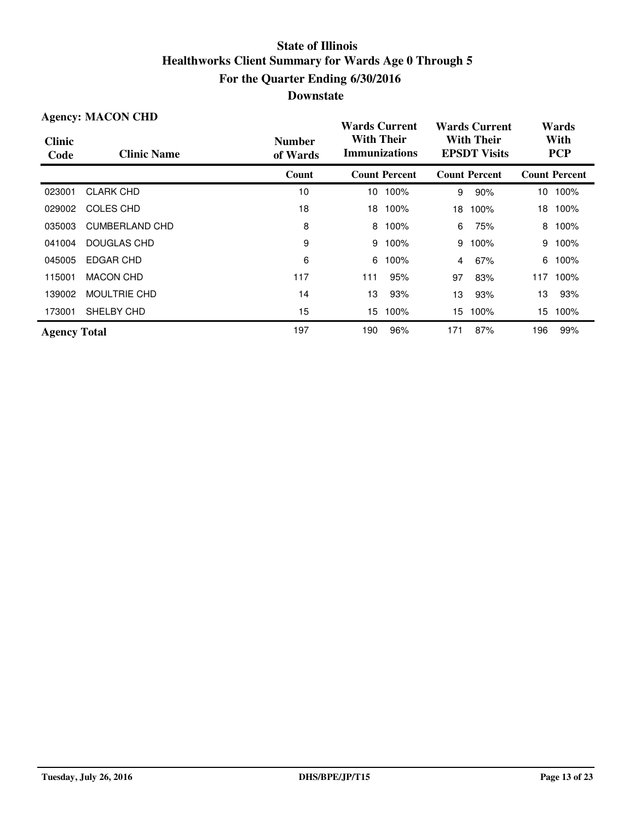| <b>Agency: MACON CHD</b> |                       |                           | <b>Wards Current</b>                      |                      | <b>Wards Current</b>                     |                      | Wards |                      |
|--------------------------|-----------------------|---------------------------|-------------------------------------------|----------------------|------------------------------------------|----------------------|-------|----------------------|
| <b>Clinic</b><br>Code    | <b>Clinic Name</b>    | <b>Number</b><br>of Wards | <b>With Their</b><br><b>Immunizations</b> |                      | <b>With Their</b><br><b>EPSDT Visits</b> |                      |       | With<br><b>PCP</b>   |
|                          |                       | Count                     |                                           | <b>Count Percent</b> |                                          | <b>Count Percent</b> |       | <b>Count Percent</b> |
| 023001                   | <b>CLARK CHD</b>      | 10                        | 10                                        | 100%                 | 9                                        | 90%                  | 10    | 100%                 |
| 029002                   | COLES CHD             | 18                        | 18                                        | 100%                 | 18                                       | 100%                 | 18    | 100%                 |
| 035003                   | <b>CUMBERLAND CHD</b> | 8                         | 8                                         | 100%                 | 6                                        | 75%                  | 8     | 100%                 |
| 041004                   | DOUGLAS CHD           | 9                         | 9                                         | 100%                 | 9                                        | 100%                 | 9     | 100%                 |
| 045005                   | EDGAR CHD             | 6                         | 6                                         | 100%                 | 4                                        | 67%                  | 6     | 100%                 |
| 115001                   | <b>MACON CHD</b>      | 117                       | 111                                       | 95%                  | 97                                       | 83%                  | 117   | 100%                 |
| 139002                   | <b>MOULTRIE CHD</b>   | 14                        | 13                                        | 93%                  | 13                                       | 93%                  | 13    | 93%                  |
| 173001                   | SHELBY CHD            | 15                        | 15.                                       | 100%                 | 15                                       | 100%                 | 15    | 100%                 |
| <b>Agency Total</b>      |                       | 197                       | 190                                       | 96%                  | 171                                      | 87%                  | 196   | 99%                  |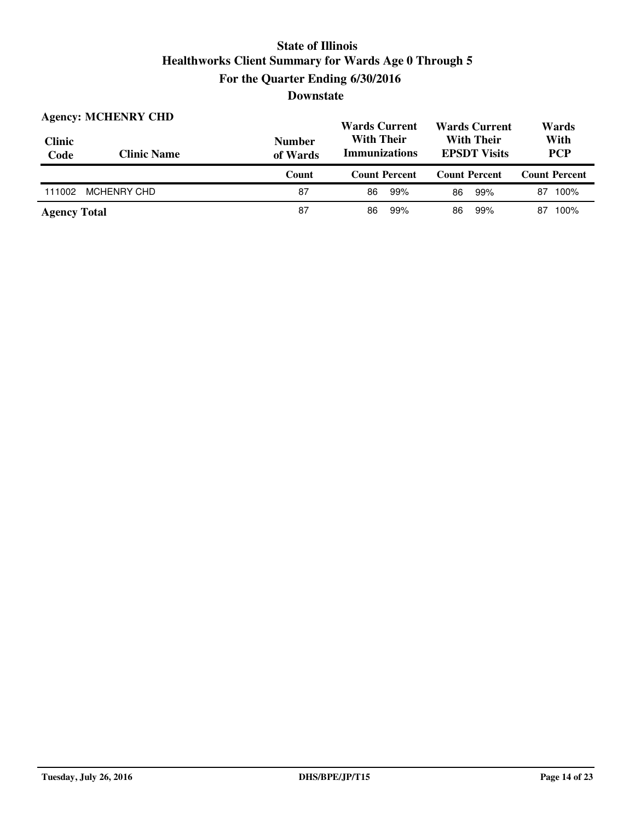| <b>Clinic</b><br>Code | <b>Agency: MCHENRY CHD</b><br><b>Clinic Name</b> | <b>Number</b><br>of Wards | <b>Wards Current</b><br><b>Wards Current</b><br><b>With Their</b><br><b>With Their</b><br><b>Immunizations</b><br><b>EPSDT Visits</b> |                      | Wards<br>With<br><b>PCP</b> |
|-----------------------|--------------------------------------------------|---------------------------|---------------------------------------------------------------------------------------------------------------------------------------|----------------------|-----------------------------|
|                       |                                                  | Count                     | <b>Count Percent</b>                                                                                                                  | <b>Count Percent</b> | <b>Count Percent</b>        |
| 111002                | MCHENRY CHD                                      | 87                        | 99%<br>86                                                                                                                             | 99%<br>86            | 100%<br>87                  |
| <b>Agency Total</b>   |                                                  | 87                        | 99%<br>86                                                                                                                             | 99%<br>86            | 100%<br>87                  |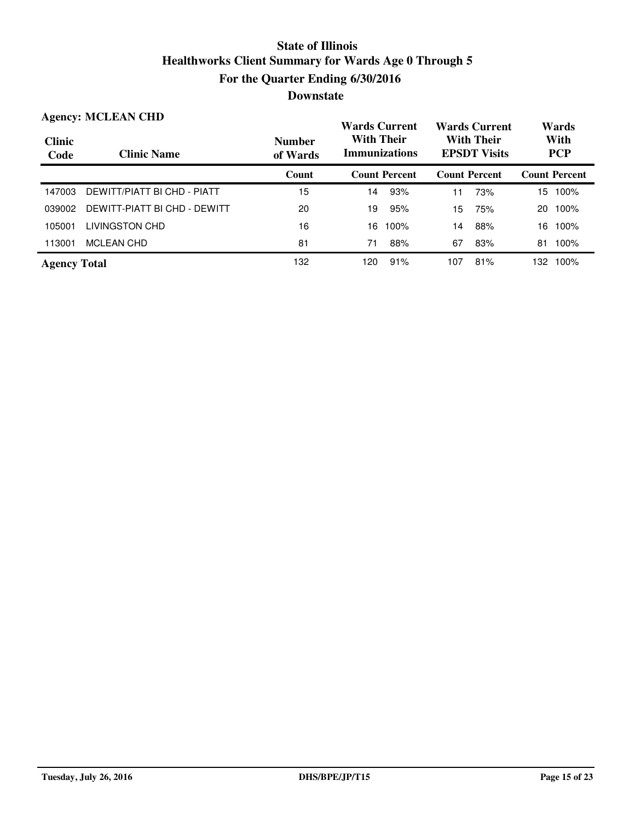|                       | <b>Agency: MCLEAN CHD</b>    |                           | <b>Wards Current</b>                      |                      | <b>Wards Current</b>                     |     | Wards              |                      |
|-----------------------|------------------------------|---------------------------|-------------------------------------------|----------------------|------------------------------------------|-----|--------------------|----------------------|
| <b>Clinic</b><br>Code | <b>Clinic Name</b>           | <b>Number</b><br>of Wards | <b>With Their</b><br><b>Immunizations</b> |                      | <b>With Their</b><br><b>EPSDT Visits</b> |     | With<br><b>PCP</b> |                      |
|                       |                              | Count                     |                                           | <b>Count Percent</b> | <b>Count Percent</b>                     |     |                    | <b>Count Percent</b> |
| 147003                | DEWITT/PIATT BI CHD - PIATT  | 15                        | 14                                        | 93%                  | 11                                       | 73% | 15                 | 100%                 |
| 039002                | DEWITT-PIATT BI CHD - DEWITT | 20                        | 19                                        | 95%                  | 15                                       | 75% | 20                 | 100%                 |
| 105001                | <b>LIVINGSTON CHD</b>        | 16                        | 16                                        | 100%                 | 14                                       | 88% | 16                 | 100%                 |
| 113001                | <b>MCLEAN CHD</b>            | 81                        | 71                                        | 88%                  | 67                                       | 83% | 81                 | 100%                 |
| <b>Agency Total</b>   |                              | 132                       | 120                                       | 91%                  | 107                                      | 81% | 132.               | 100%                 |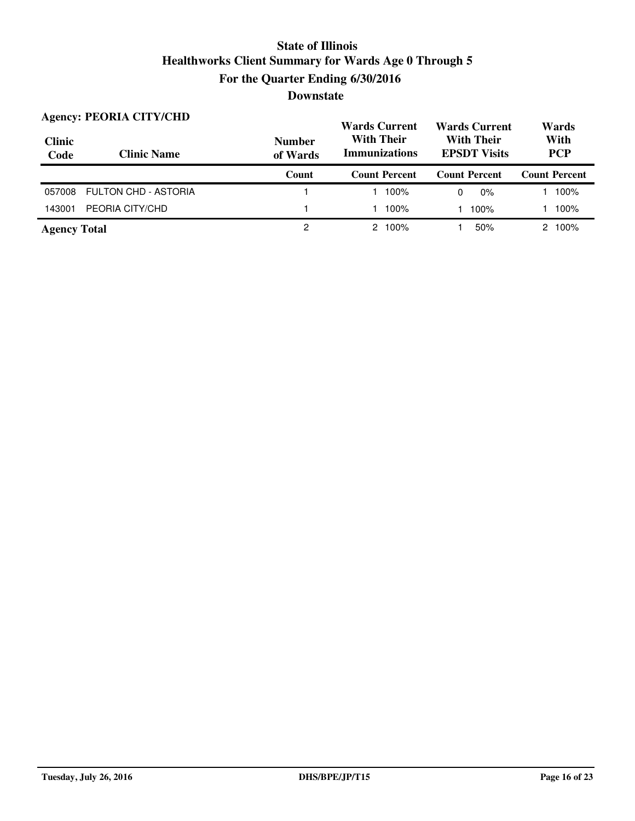| <b>Clinic</b><br>Code | <b>Agency: PEORIA CITY/CHD</b><br><b>Clinic Name</b> | <b>Number</b><br>of Wards | <b>Wards Current</b><br><b>With Their</b><br><b>Immunizations</b> | <b>Wards Current</b><br><b>With Their</b><br><b>EPSDT Visits</b> | Wards<br>With<br><b>PCP</b> |  |
|-----------------------|------------------------------------------------------|---------------------------|-------------------------------------------------------------------|------------------------------------------------------------------|-----------------------------|--|
|                       |                                                      | Count                     | <b>Count Percent</b>                                              | <b>Count Percent</b>                                             | <b>Count Percent</b>        |  |
| 057008                | FULTON CHD - ASTORIA                                 |                           | 100%                                                              | $0\%$<br>0                                                       | 100%                        |  |
| 143001                | PEORIA CITY/CHD                                      |                           | 100%                                                              | 100%                                                             | 100%                        |  |
| <b>Agency Total</b>   |                                                      | 2                         | $2,100\%$                                                         | 50%                                                              | 100%<br>$\mathcal{P}$       |  |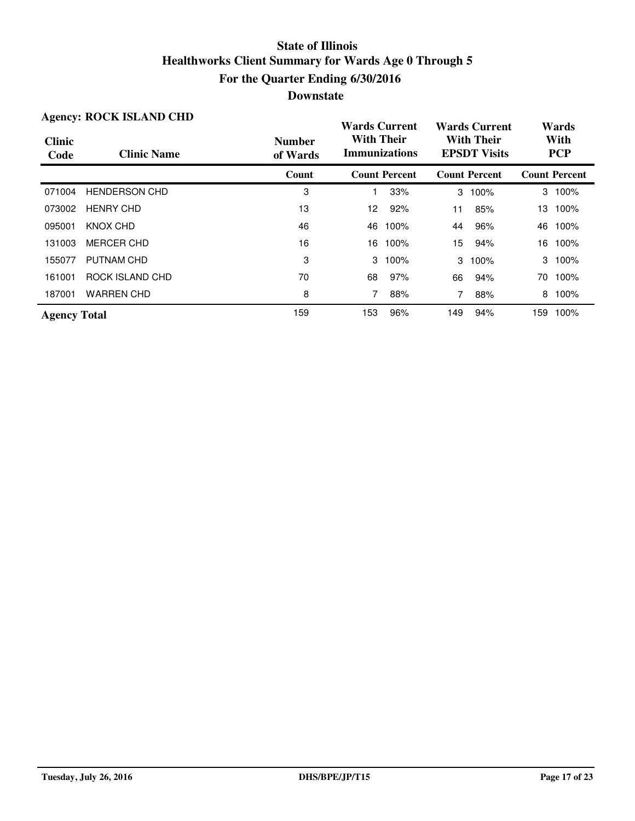| <b>Agency: ROCK ISLAND CHD</b> |                      |                           | <b>Wards Current</b>                      |                      | <b>Wards Current</b>                     |                      | Wards |                      |
|--------------------------------|----------------------|---------------------------|-------------------------------------------|----------------------|------------------------------------------|----------------------|-------|----------------------|
| <b>Clinic</b><br>Code          | <b>Clinic Name</b>   | <b>Number</b><br>of Wards | <b>With Their</b><br><b>Immunizations</b> |                      | <b>With Their</b><br><b>EPSDT</b> Visits |                      |       | With<br><b>PCP</b>   |
|                                |                      | Count                     |                                           | <b>Count Percent</b> |                                          | <b>Count Percent</b> |       | <b>Count Percent</b> |
| 071004                         | <b>HENDERSON CHD</b> | 3                         |                                           | 33%                  | 3                                        | 100%                 |       | 3 100%               |
| 073002                         | <b>HENRY CHD</b>     | 13                        | 12.                                       | 92%                  | 11                                       | 85%                  |       | 13 100%              |
| 095001                         | KNOX CHD             | 46                        | 46                                        | 100%                 | 44                                       | 96%                  | 46    | 100%                 |
| 131003                         | <b>MERCER CHD</b>    | 16                        |                                           | 16 100%              | 15                                       | 94%                  |       | 16 100%              |
| 155077                         | PUTNAM CHD           | 3                         |                                           | $3 \t100\%$          | 3                                        | 100%                 |       | 3 100%               |
| 161001                         | ROCK ISLAND CHD      | 70                        | 68                                        | 97%                  | 66                                       | 94%                  | 70.   | 100%                 |
| 187001                         | <b>WARREN CHD</b>    | 8                         | 7                                         | 88%                  | 7                                        | 88%                  | 8     | 100%                 |
| <b>Agency Total</b>            |                      | 159                       | 153                                       | 96%                  | 149                                      | 94%                  | 159   | 100%                 |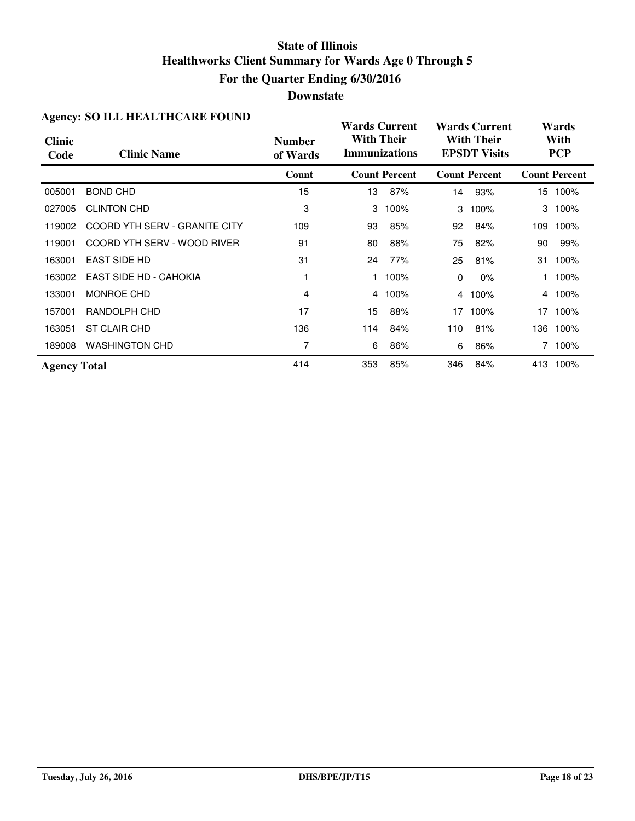#### **Downstate**

| $\mathbf{H}_{\mathbf{S}}$ che $\mathbf{y}$ . 90 $\mathbf{H}_{\mathbf{D}}$ $\mathbf{H}_{\mathbf{D}}$ $\mathbf{H}_{\mathbf{D}}$ $\mathbf{H}_{\mathbf{D}}$ $\mathbf{H}_{\mathbf{D}}$ $\mathbf{H}_{\mathbf{D}}$ |                               |                           | <b>Wards Current</b> |                      |     | <b>Wards Current</b>                     |     | Wards                |  |  |
|-------------------------------------------------------------------------------------------------------------------------------------------------------------------------------------------------------------|-------------------------------|---------------------------|----------------------|----------------------|-----|------------------------------------------|-----|----------------------|--|--|
| <b>Clinic</b><br>Code                                                                                                                                                                                       | <b>Clinic Name</b>            | <b>Number</b><br>of Wards | <b>With Their</b>    | <b>Immunizations</b> |     | <b>With Their</b><br><b>EPSDT Visits</b> |     | With<br><b>PCP</b>   |  |  |
|                                                                                                                                                                                                             |                               | Count                     |                      | <b>Count Percent</b> |     | <b>Count Percent</b>                     |     | <b>Count Percent</b> |  |  |
| 005001                                                                                                                                                                                                      | <b>BOND CHD</b>               | 15                        | 13                   | 87%                  | 14  | 93%                                      |     | 15 100%              |  |  |
| 027005                                                                                                                                                                                                      | <b>CLINTON CHD</b>            | 3                         | 3                    | 100%                 | 3   | 100%                                     | 3   | 100%                 |  |  |
| 119002                                                                                                                                                                                                      | COORD YTH SERV - GRANITE CITY | 109                       | 93                   | 85%                  | 92  | 84%                                      | 109 | 100%                 |  |  |
| 119001                                                                                                                                                                                                      | COORD YTH SERV - WOOD RIVER   | 91                        | 80                   | 88%                  | 75  | 82%                                      | 90  | 99%                  |  |  |
| 163001                                                                                                                                                                                                      | <b>EAST SIDE HD</b>           | 31                        | 24                   | 77%                  | 25  | 81%                                      | 31  | 100%                 |  |  |
| 163002                                                                                                                                                                                                      | <b>EAST SIDE HD - CAHOKIA</b> |                           |                      | 100%                 | 0   | $0\%$                                    |     | 100%                 |  |  |
| 133001                                                                                                                                                                                                      | MONROE CHD                    | 4                         | 4                    | 100%                 |     | 4 100%                                   |     | 4 100%               |  |  |
| 157001                                                                                                                                                                                                      | RANDOLPH CHD                  | 17                        | 15                   | 88%                  | 17  | 100%                                     |     | 17 100%              |  |  |
| 163051                                                                                                                                                                                                      | ST CLAIR CHD                  | 136                       | 114                  | 84%                  | 110 | 81%                                      | 136 | 100%                 |  |  |
| 189008                                                                                                                                                                                                      | <b>WASHINGTON CHD</b>         | 7                         | 6                    | 86%                  | 6   | 86%                                      |     | 7 100%               |  |  |
| <b>Agency Total</b>                                                                                                                                                                                         |                               | 414                       | 353                  | 85%                  | 346 | 84%                                      |     | 413 100%             |  |  |

#### **Agency: SO ILL HEALTHCARE FOUND**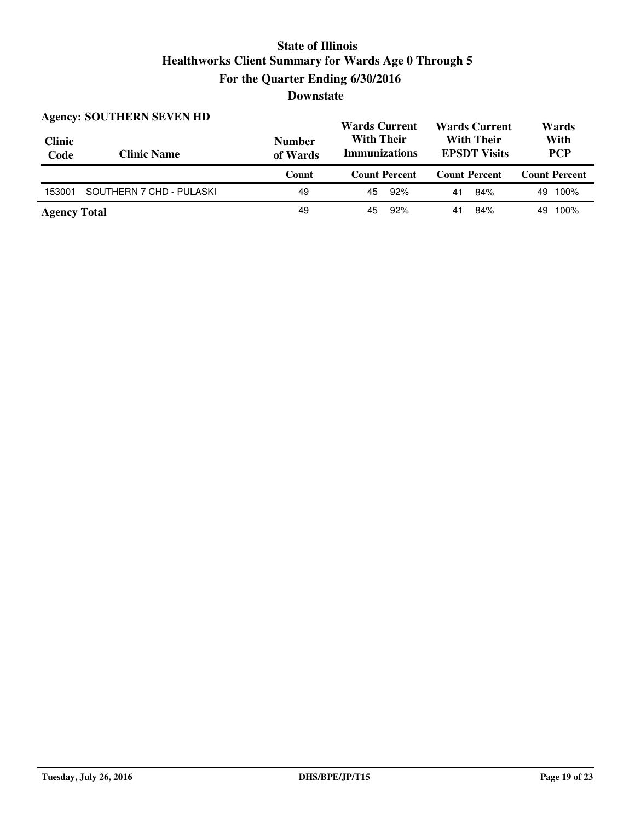| <b>Clinic</b><br>Code | <b>Agency: SOUTHERN SEVEN HD</b><br><b>Clinic Name</b> | <b>Number</b><br>of Wards | <b>Wards Current</b><br><b>Wards Current</b><br><b>With Their</b><br><b>With Their</b><br><b>Immunizations</b><br><b>EPSDT Visits</b> |                      | Wards<br>With<br><b>PCP</b> |
|-----------------------|--------------------------------------------------------|---------------------------|---------------------------------------------------------------------------------------------------------------------------------------|----------------------|-----------------------------|
|                       |                                                        |                           |                                                                                                                                       |                      |                             |
|                       |                                                        | Count                     | <b>Count Percent</b>                                                                                                                  | <b>Count Percent</b> | <b>Count Percent</b>        |
| 153001                | SOUTHERN 7 CHD - PULASKI                               | 49                        | 92%<br>45                                                                                                                             | 84%<br>41            | 49 100%                     |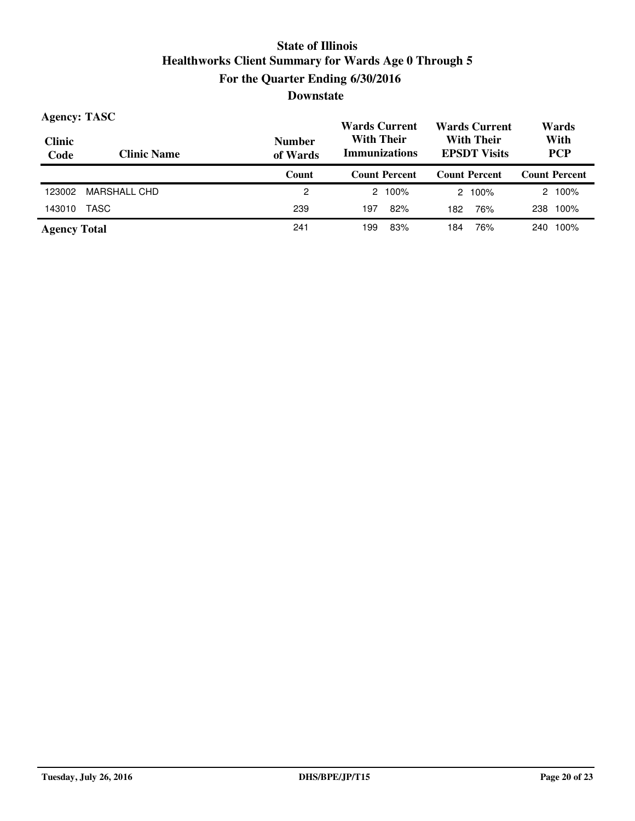| <b>Agency: TASC</b><br><b>Clinic</b><br>Code | <b>Clinic Name</b> | <b>Number</b><br>of Wards | <b>Wards Current</b><br><b>Wards Current</b><br><b>With Their</b><br><b>With Their</b><br><b>Immunizations</b><br><b>EPSDT Visits</b> |                      | Wards<br>With<br><b>PCP</b> |
|----------------------------------------------|--------------------|---------------------------|---------------------------------------------------------------------------------------------------------------------------------------|----------------------|-----------------------------|
|                                              |                    | Count                     | <b>Count Percent</b>                                                                                                                  | <b>Count Percent</b> | <b>Count Percent</b>        |
| 123002                                       | MARSHALL CHD       | 2                         | 2 100%                                                                                                                                | 2 100%               | 2 100%                      |
| 143010                                       | TASC               | 239                       | 82%<br>197                                                                                                                            | 76%<br>182           | 100%<br>238                 |
| <b>Agency Total</b>                          |                    | 241                       | 83%<br>199                                                                                                                            | 76%<br>184           | 100%<br>240                 |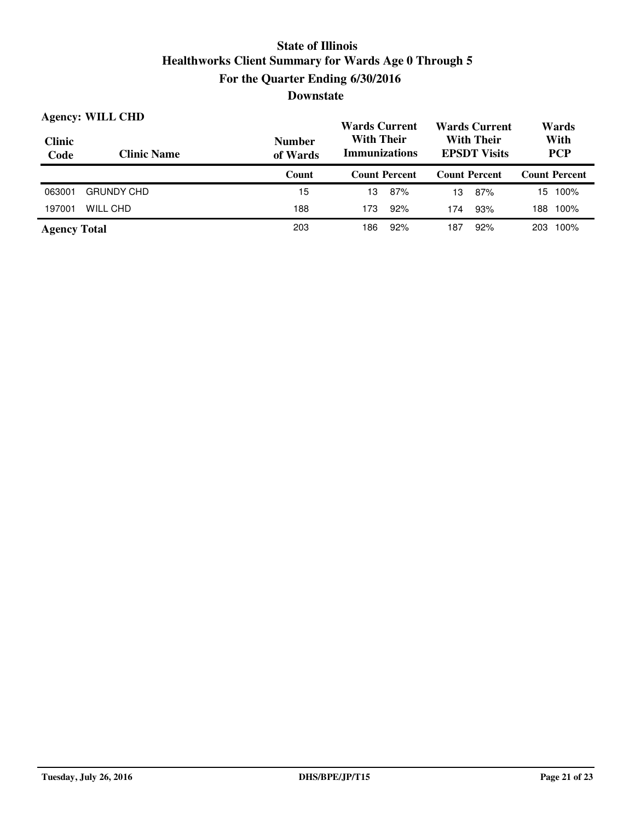| <b>Clinic</b><br>Code | <b>Agency: WILL CHD</b><br><b>Clinic Name</b> | <b>Number</b><br>of Wards | <b>Wards Current</b><br><b>With Their</b><br><b>Immunizations</b> |     | <b>Wards Current</b><br><b>With Their</b><br><b>EPSDT Visits</b> |                      | Wards<br>With<br><b>PCP</b> |                      |
|-----------------------|-----------------------------------------------|---------------------------|-------------------------------------------------------------------|-----|------------------------------------------------------------------|----------------------|-----------------------------|----------------------|
|                       |                                               | Count                     | <b>Count Percent</b>                                              |     |                                                                  | <b>Count Percent</b> |                             | <b>Count Percent</b> |
| 063001                | <b>GRUNDY CHD</b>                             | 15                        | 13                                                                | 87% | 13                                                               | 87%                  |                             | 15 100%              |
| 197001                | WILL CHD                                      | 188                       | 173                                                               | 92% | 174                                                              | 93%                  | 188                         | 100%                 |
| <b>Agency Total</b>   |                                               | 203                       | 186                                                               | 92% | 187                                                              | 92%                  | 203                         | 100%                 |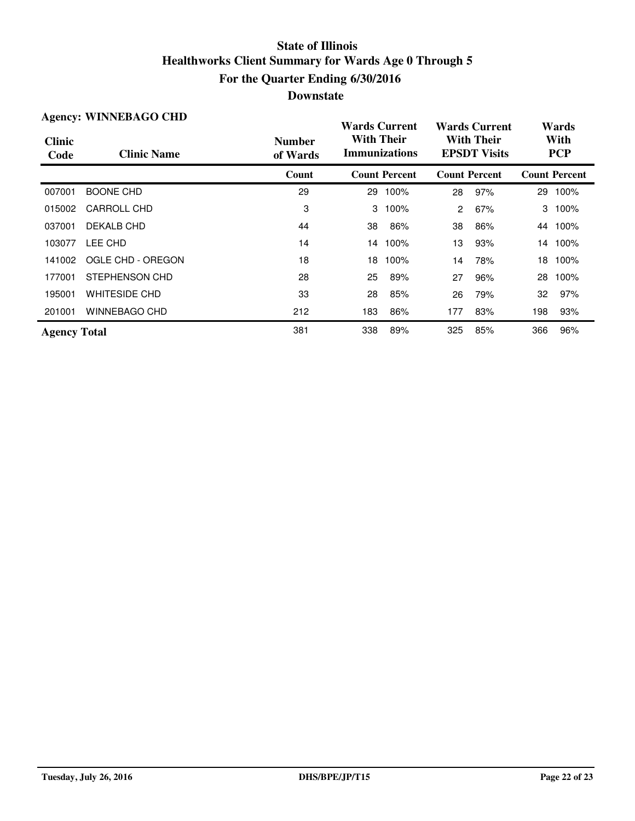| <b>Agency: WINNEBAGO CHD</b> |                      |                           | <b>Wards Current</b>                      |                      | <b>Wards Current</b>                     |                      | Wards |                      |
|------------------------------|----------------------|---------------------------|-------------------------------------------|----------------------|------------------------------------------|----------------------|-------|----------------------|
| <b>Clinic</b><br>Code        | <b>Clinic Name</b>   | <b>Number</b><br>of Wards | <b>With Their</b><br><b>Immunizations</b> |                      | <b>With Their</b><br><b>EPSDT Visits</b> |                      |       | With<br><b>PCP</b>   |
|                              |                      | Count                     |                                           | <b>Count Percent</b> |                                          | <b>Count Percent</b> |       | <b>Count Percent</b> |
| 007001                       | <b>BOONE CHD</b>     | 29                        | 29                                        | 100%                 | 28                                       | 97%                  |       | 29 100%              |
| 015002                       | <b>CARROLL CHD</b>   | 3                         | 3                                         | 100%                 | 2                                        | 67%                  | 3     | 100%                 |
| 037001                       | DEKALB CHD           | 44                        | 38                                        | 86%                  | 38                                       | 86%                  | 44    | 100%                 |
| 103077                       | LEE CHD              | 14                        |                                           | 14 100%              | 13                                       | 93%                  |       | 14 100%              |
| 141002                       | OGLE CHD - OREGON    | 18                        | 18                                        | 100%                 | 14                                       | 78%                  | 18    | 100%                 |
| 177001                       | STEPHENSON CHD       | 28                        | 25                                        | 89%                  | 27                                       | 96%                  | 28    | 100%                 |
| 195001                       | <b>WHITESIDE CHD</b> | 33                        | 28                                        | 85%                  | 26                                       | 79%                  | 32    | 97%                  |
| 201001                       | WINNEBAGO CHD        | 212                       | 183                                       | 86%                  | 177                                      | 83%                  | 198   | 93%                  |
| <b>Agency Total</b>          |                      | 381                       | 338                                       | 89%                  | 325                                      | 85%                  | 366   | 96%                  |